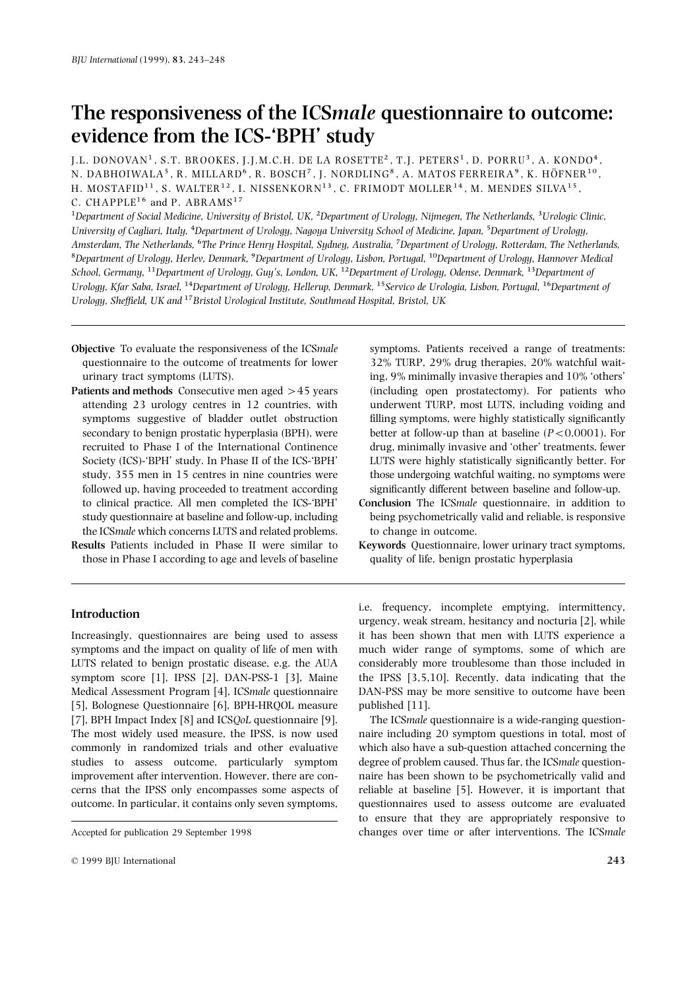# The responsiveness of the ICSmale questionnaire to outcome: evidence from the ICS-'BPH' study

J.L. DONOVAN<sup>1</sup>, S.T. BROOKES, J.J.M.C.H. DE LA ROSETTE<sup>2</sup>, T.J. PETERS<sup>1</sup>, D. PORRU<sup>3</sup>, A. KONDO<sup>4</sup>, N. DABHOIWALA<sup>5</sup>, R. MILLARD<sup>6</sup>, R. BOSCH<sup>7</sup>, J. NORDLING<sup>8</sup>, A. MATOS FERREIRA<sup>9</sup>, K. HÖFNER<sup>10</sup>, H. MOSTAFID<sup>11</sup>, S. WALTER<sup>12</sup>, I. NISSENKORN<sup>13</sup>, C. FRIMODT MOLLER<sup>14</sup>, M. MENDES SILVA<sup>15</sup>, C. CHAPPLE<sup>16</sup> and P. ABRAMS<sup>17</sup>

<sup>1</sup>Department of Social Medicine, University of Bristol, UK, <sup>2</sup>Department of Urology, Nijmegen, The Netherlands, <sup>3</sup>Urologic Clinic, University of Cagliari, Italy, 4Department of Urology, Nagoya University School of Medicine, Japan, 5Department of Urology, Amsterdam, The Netherlands, 6The Prince Henry Hospital, Sydney, Australia, 7Department of Urology, Rotterdam, The Netherlands, 8Department of Urology, Herlev, Denmark, 9Department of Urology, Lisbon, Portugal, 10Department of Urology, Hannover Medical School, Germany, <sup>11</sup>Department of Urology, Guy's, London, UK, <sup>12</sup>Department of Urology, Odense, Denmark, <sup>13</sup>Department of Urology, Kfar Saba, Israel, 14Department of Urology, Hellerup, Denmark, 15Servico de Urologia, Lisbon, Portugal, 16Department of Urology, Sheffield, UK and <sup>17</sup>Bristol Urological Institute, Southmead Hospital, Bristol, UK

- Objective To evaluate the responsiveness of the ICSmale symptoms. Patients received a range of treatments:
- Patients and methods Consecutive men aged  $> 45$  years (including open prostatectomy). For patients who symptoms suggestive of bladder outlet obstruction filling symptoms, were highly statistically significantly secondary to benign prostatic hyperplasia (BPH), were better at follow-up than at baseline (P < 0.0001). For recruited to Phase I of the International Continence drug, minimally invasive and 'other' treatments, fewer Society (ICS)-'BPH' study. In Phase II of the ICS-'BPH' LUTS were highly statistically significantly better. For study, 355 men in 15 centres in nine countries were those undergoing watchful waiting, no symptoms were followed up, having proceeded to treatment according significantly different between baseline and follow-up. to clinical practice. All men completed the ICS-'BPH' Conclusion The ICSmale questionnaire, in addition to the ICSmale which concerns LUTS and related problems. to change in outcome.

those in Phase I according to age and levels of baseline quality of life, benign prostatic hyperplasia

[5], Bolognese Questionnaire [6], BPH-HRQOL measure published [11]. [7], BPH Impact Index [8] and ICS*QoL* questionnaire [9]. The ICS*male* questionnaire is a wide-ranging question-

questionnaire to the outcome of treatments for lower 32% TURP, 29% drug therapies, 20% watchful waiturinary tract symptoms (LUTS). ing, 9% minimally invasive therapies and 10% 'others' attending 23 urology centres in 12 countries, with underwent TURP, most LUTS, including voiding and

- study questionnaire at baseline and follow-up, including being psychometrically valid and reliable, is responsive
- Results Patients included in Phase II were similar to Keywords Questionnaire, lower urinary tract symptoms,

**i.e.** frequency, incomplete emptying, intermittency, **Introduction** urgency, weak stream, hesitancy and nocturia [2], while Increasingly, questionnaires are being used to assess it has been shown that men with LUTS experience a symptoms and the impact on quality of life of men with much wider range of symptoms, some of which are LUTS related to benign prostatic disease, e.g. the AUA considerably more troublesome than those included in symptom score [1], IPSS [2], DAN-PSS-1 [3], Maine the IPSS [3,5,10]. Recently, data indicating that the Medical Assessment Program [4], ICSmale questionnaire DAN-PSS may be more sensitive to outcome have been

The most widely used measure, the IPSS, is now used naire including 20 symptom questions in total, most of commonly in randomized trials and other evaluative which also have a sub-question attached concerning the studies to assess outcome, particularly symptom degree of problem caused. Thus far, the ICSmale questionimprovement after intervention. However, there are con- naire has been shown to be psychometrically valid and cerns that the IPSS only encompasses some aspects of reliable at baseline [5]. However, it is important that outcome. In particular, it contains only seven symptoms, questionnaires used to assess outcome are evaluated to ensure that they are appropriately responsive to Accepted for publication 29 September 1998 changes over time or after interventions. The ICSmale

<sup>© 1999</sup> BJU International 243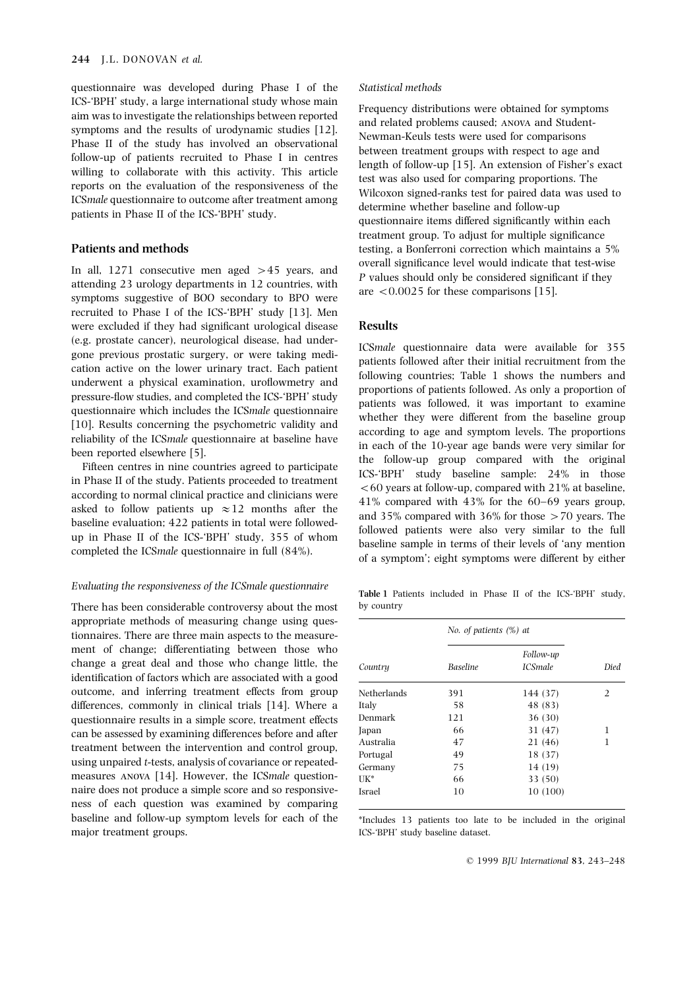questionnaire was developed during Phase I of the Statistical methods ICS-BPH' study, a large international study whose main<br>
aim was to investigate the relationships between reported<br>
symptoms and the results of urodynamic studies [12].<br>
Phase II of the study has involved an observational<br>

recruited to Phase I of the ICS-'BPH' study [13]. Men were excluded if they had significant urological disease Results

## Evaluating the responsiveness of the ICSmale questionnaire<br>
Table 1 Patients included in Phase II of the ICS-'BPH' study,

There has been considerable controversy about the most by country appropriate methods of measuring change using questionnaires. There are three main aspects to the measurement of change; differentiating between those who change a great deal and those who change little, the identification of factors which are associated with a good outcome, and inferring treatment effects from group differences, commonly in clinical trials [14]. Where a questionnaire results in a simple score, treatment effects can be assessed by examining differences before and after treatment between the intervention and control group, using unpaired *t*-tests, analysis of covariance or repeatedmeasures ANOVA [14]. However, the ICSmale questionnaire does not produce a simple score and so responsiveness of each question was examined by comparing baseline and follow-up symptom levels for each of the \*Includes 13 patients too late to be included in the original major treatment groups. ICS-'BPH' study baseline dataset.

treatment group. To adjust for multiple significance Patients and methods testing, a Bonferroni correction which maintains a 5% In all, 1271 consecutive men aged  $>45$  years, and<br>attending 23 urology departments in 12 countries, with<br>symptoms suggestive of BOO secondary to BPO were<br>attending 23 urology departments in 12 countries, with<br>are  $< 0.00$ 

(e.g. prostate cancer), neurological disease, had under-<br>
gone previous prostate surgery, or were taking medi-<br>
acation active on the lower urinary tract. Each patient<br>
underwent a physical examination, uroflowmenty and<br>

|                    | No. of patients $(\%)$ at |                             |      |
|--------------------|---------------------------|-----------------------------|------|
| Country            | <b>Baseline</b>           | Follow-up<br><b>ICSmale</b> | Died |
| <b>Netherlands</b> | 391                       | 144 (37)                    | 2    |
| Italy              | 58                        | 48 (83)                     |      |
| Denmark            | 121                       | 36(30)                      |      |
| Japan              | 66                        | 31 (47)                     | 1    |
| Australia          | 47                        | 21 (46)                     | 1    |
| Portugal           | 49                        | 18 (37)                     |      |
| Germany            | 75                        | 14 (19)                     |      |
| $_{\rm{IJK^{*}}}$  | 66                        | 33 (50)                     |      |
| Israel             | 10                        | 10(100)                     |      |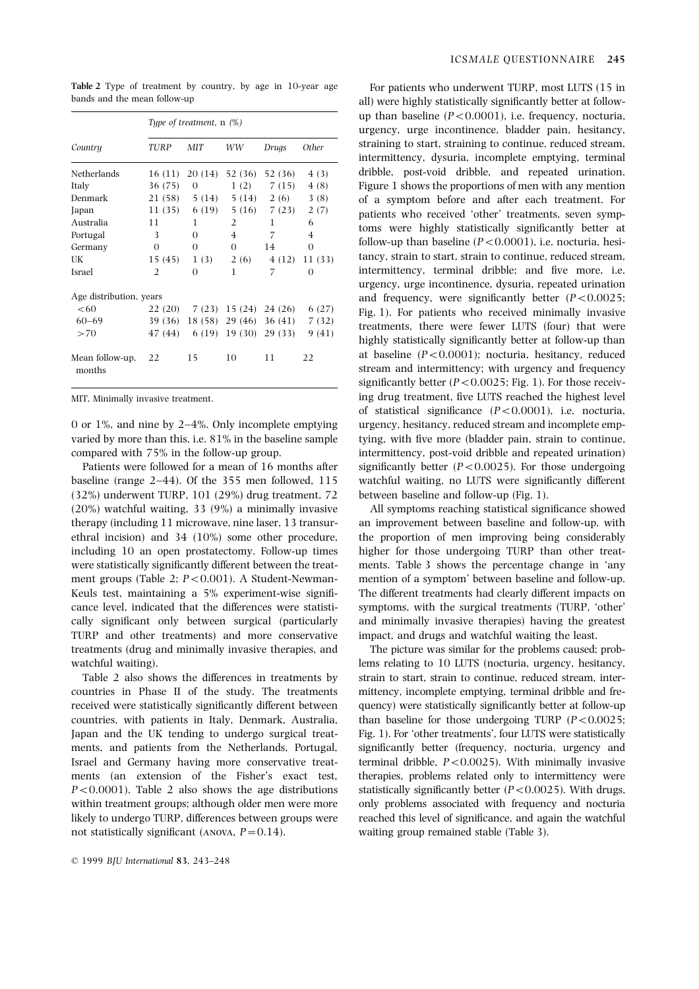|                           | Type of treatment, $n$ (%) |                                 |                        |                       |                |  |  |  |
|---------------------------|----------------------------|---------------------------------|------------------------|-----------------------|----------------|--|--|--|
| Country                   | TURP                       | MIT                             | WW                     | Drugs                 | <i>Other</i>   |  |  |  |
| Netherlands               | 16(11)                     |                                 | $20(14)$ 52(36) 52(36) |                       | 4(3)           |  |  |  |
| Italy                     | 36 (75)                    | $\theta$                        |                        | $1(2)$ $7(15)$ $4(8)$ |                |  |  |  |
| Denmark                   |                            | $21(58)$ $5(14)$ $5(14)$ $2(6)$ |                        |                       | 3(8)           |  |  |  |
| Japan                     |                            | $11(35)$ 6(19) 5(16) 7(23)      |                        |                       | 2(7)           |  |  |  |
| Australia                 | 11                         | $\mathbf{1}$                    | 2                      | $\mathbf{1}$          | 6              |  |  |  |
| Portugal                  | 3                          | $\Omega$                        | $\overline{4}$         | 7                     | $\overline{4}$ |  |  |  |
| Germany                   | $\theta$                   | $\Omega$                        | $\theta$               | 14                    | $\theta$       |  |  |  |
| UК                        | 15(45)                     | 1(3)                            | 2(6)                   | 4 (12)                | 11(33)         |  |  |  |
| Israel                    | 2                          | $\Omega$                        | 1                      | 7                     | $\Omega$       |  |  |  |
| Age distribution, years   |                            |                                 |                        |                       |                |  |  |  |
| < 60                      |                            | $22(20)$ 7 (23)                 |                        | $15(24)$ 24 (26)      | 6(27)          |  |  |  |
| 60–69                     |                            | 39 (36) 18 (58) 29 (46) 36 (41) |                        |                       | 7(32)          |  |  |  |
| >70                       |                            | 47 (44) 6 (19) 19 (30) 29 (33)  |                        |                       | 9(41)          |  |  |  |
| Mean follow-up,<br>months | 22                         | 15                              | 10                     | 11                    | 22             |  |  |  |

0 or 1%, and nine by 2–4%. Only incomplete emptying urgency, hesitancy, reduced stream and incomplete empvaried by more than this, i.e. 81% in the baseline sample tying, with five more (bladder pain, strain to continue,

baseline (range  $2-44$ ). Of the 355 men followed, 115 watchful waiting, no LUTS were significantly different (32%) underwent TURP, 101 (29%) drug treatment, 72 between baseline and follow-up (Fig. 1). (20%) watchful waiting, 33 (9%) a minimally invasive All symptoms reaching statistical significance showed therapy (including 11 microwave, nine laser, 13 transur- an improvement between baseline and follow-up, with ethral incision) and 34 (10%) some other procedure, the proportion of men improving being considerably including 10 an open prostatectomy. Follow-up times higher for those undergoing TURP than other treatwere statistically significantly different between the treat- ments. Table 3 shows the percentage change in 'any ment groups (Table 2; P < 0.001). A Student-Newman- mention of a symptom' between baseline and follow-up. Keuls test, maintaining a 5% experiment-wise signifi-<br>The different treatments had clearly different impacts on cance level, indicated that the differences were statisti- symptoms, with the surgical treatments (TURP, 'other' cally significant only between surgical (particularly and minimally invasive therapies) having the greatest TURP and other treatments) and more conservative impact, and drugs and watchful waiting the least. treatments (drug and minimally invasive therapies, and The picture was similar for the problems caused; prob-

not statistically significant (ANOVA,  $P = 0.14$ ). waiting group remained stable (Table 3).

Table 2 Type of treatment by country, by age in 10-year age For patients who underwent TURP, most LUTS (15 in bands and the mean follow-up all) were highly statistically significantly better at followall) were highly statistically significantly better at followup than baseline  $(P < 0.0001)$ , i.e. frequency, nocturia, urgency, urge incontinence, bladder pain, hesitancy, straining to start, straining to continue, reduced stream, intermittency, dysuria, incomplete emptying, terminal dribble, post-void dribble, and repeated urination. Figure 1 shows the proportions of men with any mention of a symptom before and after each treatment. For patients who received 'other' treatments, seven symptoms were highly statistically significantly better at follow-up than baseline  $(P < 0.0001)$ , i.e. nocturia, hesitancy, strain to start, strain to continue, reduced stream, intermittency, terminal dribble; and five more, i.e. urgency, urge incontinence, dysuria, repeated urination and frequency, were significantly better  $(P<0.0025;$ Fig. 1). For patients who received minimally invasive<br>treatments, there were fewer LUTS (four) that were<br>highly statistically significantly better at follow-up than at baseline  $(P < 0.0001)$ ; nocturia, hesitancy, reduced stream and intermittency; with urgency and frequency significantly better  $(P < 0.0025$ ; Fig. 1). For those receiv-MIT, Minimally invasive treatment. ing drug treatment, five LUTS reached the highest level of statistical significance  $(P<0.0001)$ , i.e. nocturia, compared with 75% in the follow-up group. intermittency, post-void dribble and repeated urination) Patients were followed for a mean of 16 months after significantly better  $(P<0.0025)$ . For those undergoing

watchful waiting). lems relating to 10 LUTS (nocturia, urgency, hesitancy, Table 2 also shows the differences in treatments by strain to start, strain to continue, reduced stream, intercountries in Phase II of the study. The treatments mittency, incomplete emptying, terminal dribble and frereceived were statistically significantly different between quency) were statistically significantly better at follow-up countries, with patients in Italy, Denmark, Australia, than baseline for those undergoing TURP  $(P<0.0025;$ Japan and the UK tending to undergo surgical treat- Fig. 1). For 'other treatments', four LUTS were statistically ments, and patients from the Netherlands, Portugal, significantly better (frequency, nocturia, urgency and Israel and Germany having more conservative treat-<br>terminal dribble,  $P < 0.0025$ ). With minimally invasive ments (an extension of the Fisher's exact test, therapies, problems related only to intermittency were  $P < 0.0001$ ). Table 2 also shows the age distributions statistically significantly better ( $P < 0.0025$ ). With drugs, within treatment groups; although older men were more only problems associated with frequency and nocturia likely to undergo TURP, differences between groups were reached this level of significance, and again the watchful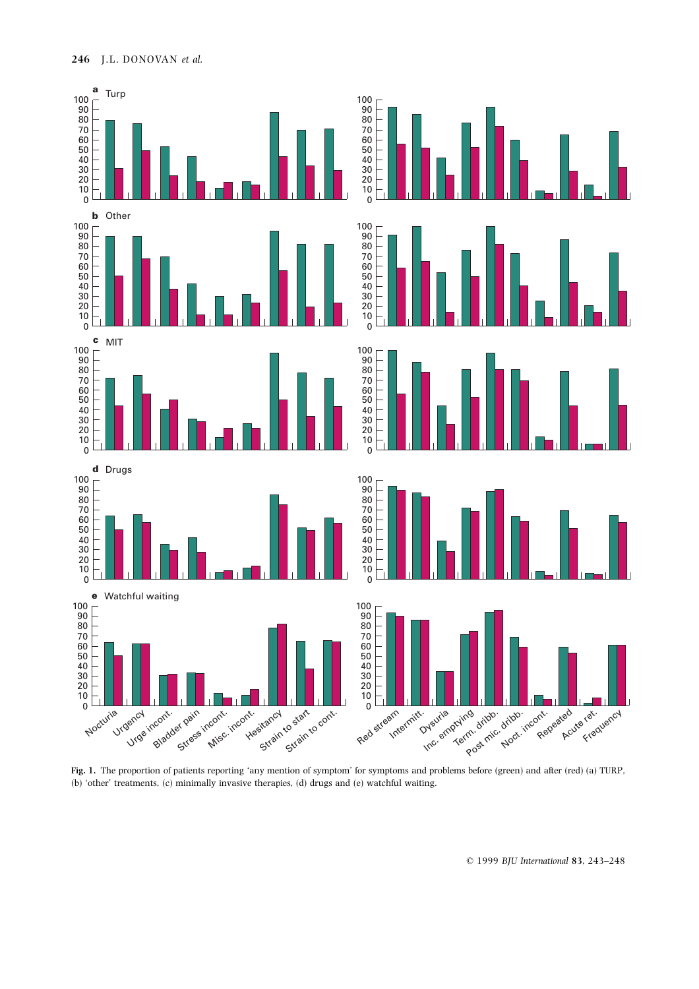

Fig. 1. The proportion of patients reporting 'any mention of symptom' for symptoms and problems before (green) and after (red) (a) TURP, (b) 'other' treatments, (c) minimally invasive therapies, (d) drugs and (e) watchful waiting.

© 1999 BJU International 83, 243–248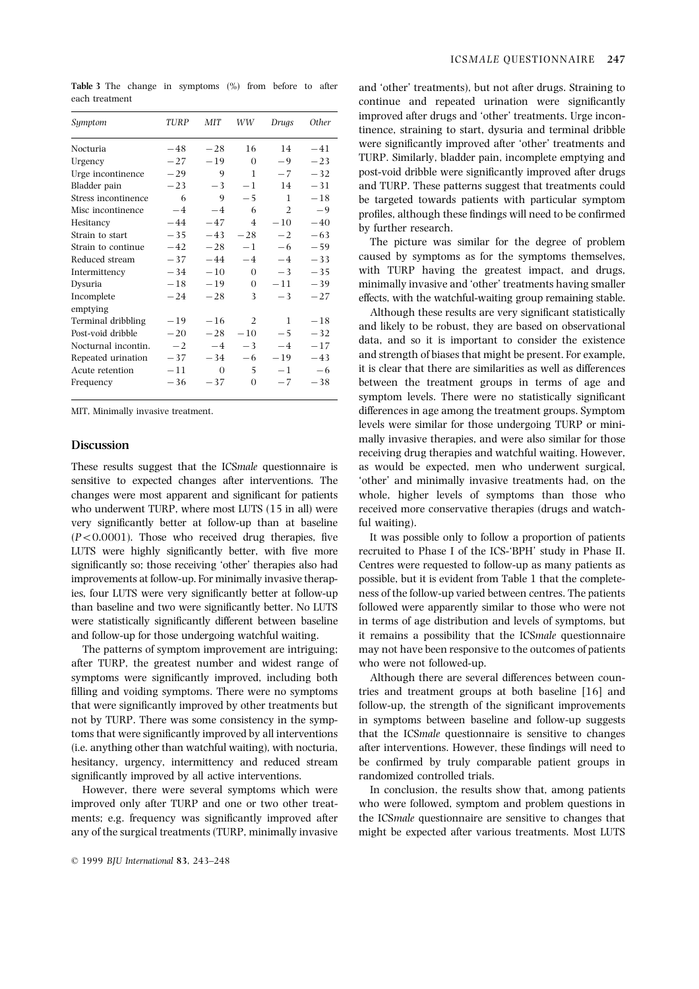| Symptom             | TURP  | MIT            | WW             | Drugs | <i>Other</i> |
|---------------------|-------|----------------|----------------|-------|--------------|
| Nocturia            | $-48$ | $-28$          | 16             | 14    | $-41$        |
| Urgency             | $-27$ | $-19$          | $\Omega$       | -9    | $-23$        |
| Urge incontinence   | $-29$ | 9              | 1              | $-7$  | $-32$        |
| Bladder pain        | $-23$ | $-3$           | $-1$           | 14    | $-31$        |
| Stress incontinence | 6     | 9              | $-5$           | 1     | $-18$        |
| Misc incontinence   | $-4$  | $-4$           | 6              | 2     | $-9$         |
| Hesitancy           | $-44$ | $-47$          | $\overline{4}$ | $-10$ | $-40$        |
| Strain to start     | $-35$ | $-43$          | $-28$          | $-2$  | $-63$        |
| Strain to continue  | $-42$ | $-28$          | $-1$           | $-6$  | $-59$        |
| Reduced stream      | $-37$ | $-44$          | $-4$           | $-4$  | $-33$        |
| Intermittency       | $-34$ | $-10$          | $\Omega$       | $-3$  | $-35$        |
| Dysuria             | $-18$ | $-19$          | $\Omega$       | $-11$ | $-39$        |
| Incomplete          | $-24$ | $-28$          | 3              | $-3$  | $-27$        |
| emptying            |       |                |                |       |              |
| Terminal dribbling  | $-19$ | $-16$          | $\overline{2}$ | 1     | $-18$        |
| Post-void dribble   | $-20$ | $-28$          | $-10$          | $-5$  | $-32$        |
| Nocturnal incontin. | $-2$  | $-4$           | $-3$           | $-4$  | $-17$        |
| Repeated urination  | $-37$ | $-34$          | -6             | $-19$ | $-43$        |
| Acute retention     | $-11$ | $\overline{0}$ | 5              | $-1$  | $-6$         |
| Frequency           | $-36$ | $-37$          | $\overline{0}$ | $-7$  | $-38$        |

sensitive to expected changes after interventions. The 'other' and minimally invasive treatments had, on the changes were most apparent and significant for patients whole, higher levels of symptoms than those who who underwent TURP, where most LUTS (15 in all) were received more conservative therapies (drugs and watchvery significantly better at follow-up than at baseline ful waiting).  $(P<0.0001)$ . Those who received drug therapies, five It was possible only to follow a proportion of patients LUTS were highly significantly better, with five more recruited to Phase I of the ICS-'BPH' study in Phase II. significantly so; those receiving 'other' therapies also had Centres were requested to follow-up as many patients as improvements at follow-up. For minimally invasive therap- possible, but it is evident from Table 1 that the completeies, four LUTS were very significantly better at follow-up ness of the follow-up varied between centres. The patients than baseline and two were significantly better. No LUTS followed were apparently similar to those who were not were statistically significantly different between baseline in terms of age distribution and levels of symptoms, but and follow-up for those undergoing watchful waiting. it remains a possibility that the ICSmale questionnaire

after TURP, the greatest number and widest range of who were not followed-up. symptoms were significantly improved, including both Although there are several differences between counsignificantly improved by all active interventions. The randomized controlled trials.

improved only after TURP and one or two other treat- who were followed, symptom and problem questions in ments; e.g. frequency was significantly improved after the ICSmale questionnaire are sensitive to changes that any of the surgical treatments (TURP, minimally invasive might be expected after various treatments. Most LUTS

Table 3 The change in symptoms (%) from before to after and 'other' treatments), but not after drugs. Straining to each treatment continue and repeated urination were significantly improved after drugs and 'other' treatments. Urge incon-<br>tinence, straining to start, dysuria and terminal dribble were significantly improved after 'other' treatments and TURP. Similarly, bladder pain, incomplete emptying and post-void dribble were significantly improved after drugs and TURP. These patterns suggest that treatments could be targeted towards patients with particular symptom profiles, although these findings will need to be confirmed<br>by further research.<br>The picture was similar for the degree of problem

caused by symptoms as for the symptoms themselves, with TURP having the greatest impact, and drugs, minimally invasive and 'other' treatments having smaller effects, with the watchful-waiting group remaining stable.

Although these results are very significant statistically<br>and likely to be robust, they are based on observational<br>data, and so it is important to consider the existence and strength of biases that might be present. For example, it is clear that there are similarities as well as differences between the treatment groups in terms of age and symptom levels. There were no statistically significant MIT, Minimally invasive treatment. differences in age among the treatment groups. Symptom levels were similar for those undergoing TURP or minimally invasive therapies, and were also similar for those receiving drug therapies and watchful waiting. However, These results suggest that the ICSmale questionnaire is as would be expected, men who underwent surgical,

The patterns of symptom improvement are intriguing; may not have been responsive to the outcomes of patients

filling and voiding symptoms. There were no symptoms tries and treatment groups at both baseline [16] and that were significantly improved by other treatments but follow-up, the strength of the significant improvements not by TURP. There was some consistency in the symp- in symptoms between baseline and follow-up suggests toms that were significantly improved by all interventions that the ICSmale questionnaire is sensitive to changes (i.e. anything other than watchful waiting), with nocturia, after interventions. However, these findings will need to hesitancy, urgency, intermittency and reduced stream be confirmed by truly comparable patient groups in

However, there were several symptoms which were In conclusion, the results show that, among patients